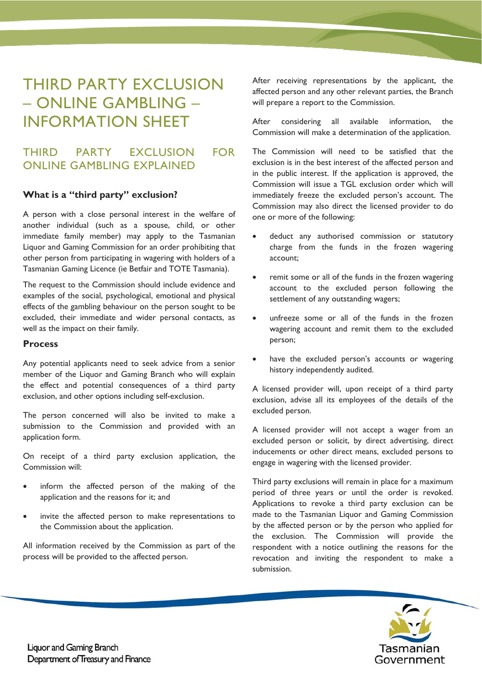# THIRD PARTY EXCLUSION – ONLINE GAMBLING – INFORMATION SHEET

# THIRD PARTY EXCLUSION FOR ONLINE GAMBLING EXPLAINED

#### **What is a "third party" exclusion?**

A person with a close personal interest in the welfare of another individual (such as a spouse, child, or other immediate family member) may apply to the Tasmanian Liquor and Gaming Commission for an order prohibiting that other person from participating in wagering with holders of a Tasmanian Gaming Licence (ie Betfair and TOTE Tasmania).

The request to the Commission should include evidence and examples of the social, psychological, emotional and physical effects of the gambling behaviour on the person sought to be excluded, their immediate and wider personal contacts, as well as the impact on their family.

#### **Process**

Any potential applicants need to seek advice from a senior member of the Liquor and Gaming Branch who will explain the effect and potential consequences of a third party exclusion, and other options including self-exclusion.

The person concerned will also be invited to make a submission to the Commission and provided with an application form.

On receipt of a third party exclusion application, the Commission will:

- inform the affected person of the making of the application and the reasons for it; and
- invite the affected person to make representations to the Commission about the application.

All information received by the Commission as part of the process will be provided to the affected person.

After receiving representations by the applicant, the affected person and any other relevant parties, the Branch will prepare a report to the Commission.

After considering all available information, the Commission will make a determination of the application.

The Commission will need to be satisfied that the exclusion is in the best interest of the affected person and in the public interest. If the application is approved, the Commission will issue a TGL exclusion order which will immediately freeze the excluded person's account. The Commission may also direct the licensed provider to do one or more of the following:

- deduct any authorised commission or statutory charge from the funds in the frozen wagering account;
- remit some or all of the funds in the frozen wagering account to the excluded person following the settlement of any outstanding wagers;
- unfreeze some or all of the funds in the frozen wagering account and remit them to the excluded person;
- have the excluded person's accounts or wagering history independently audited.

A licensed provider will, upon receipt of a third party exclusion, advise all its employees of the details of the excluded person.

A licensed provider will not accept a wager from an excluded person or solicit, by direct advertising, direct inducements or other direct means, excluded persons to engage in wagering with the licensed provider.

Third party exclusions will remain in place for a maximum period of three years or until the order is revoked. Applications to revoke a third party exclusion can be made to the Tasmanian Liquor and Gaming Commission by the affected person or by the person who applied for the exclusion. The Commission will provide the respondent with a notice outlining the reasons for the revocation and inviting the respondent to make a submission.



**Liquor and Gaming Branch** Department of Treasury and Finance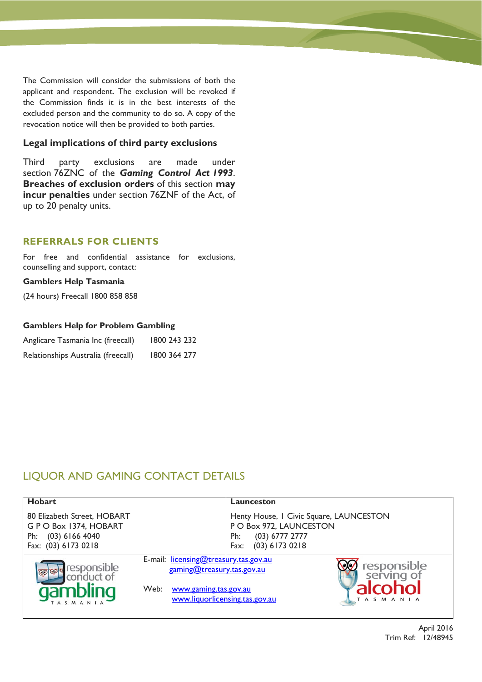The Commission will consider the submissions of both the applicant and respondent. The exclusion will be revoked if the Commission finds it is in the best interests of the excluded person and the community to do so. A copy of the revocation notice will then be provided to both parties.

#### **Legal implications of third party exclusions**

Third party exclusions are made under section 76ZNC of the *Gaming Control Act 1993*. **Breaches of exclusion orders** of this section **may incur penalties** under section 76ZNF of the Act, of up to 20 penalty units.

#### **REFERRALS FOR CLIENTS**

For free and confidential assistance for exclusions, counselling and support, contact:

#### **Gamblers Help Tasmania**

(24 hours) Freecall 1800 858 858

#### **Gamblers Help for Problem Gambling**

| Anglicare Tasmania Inc (freecall)  | 1800 243 232 |
|------------------------------------|--------------|
| Relationships Australia (freecall) | 1800 364 277 |

# LIQUOR AND GAMING CONTACT DETAILS

| <b>Hobart</b>                                                                                         |                                                                                                      | Launceston                                                                                                                |                                              |
|-------------------------------------------------------------------------------------------------------|------------------------------------------------------------------------------------------------------|---------------------------------------------------------------------------------------------------------------------------|----------------------------------------------|
| 80 Elizabeth Street, HOBART<br>GPO Box 1374, HOBART<br>$(03)$ 6166 4040<br>Ph:<br>Fax: (03) 6173 0218 |                                                                                                      | Henty House, I Civic Square, LAUNCESTON<br>P O Box 972, LAUNCESTON<br>$(03)$ 6777 2777<br>Ph:<br>$(03)$ 6173 0218<br>Fax: |                                              |
| responsible<br>conduct of<br>qambling<br>TASMANIA                                                     | E-mail: licensing@treasury.tas.gov.au<br>gaming@treasury.tas.gov.au<br>Web:<br>www.gaming.tas.gov.au | www.liquorlicensing.tas.gov.au                                                                                            | responsible<br>serving of<br><b>TASMANIA</b> |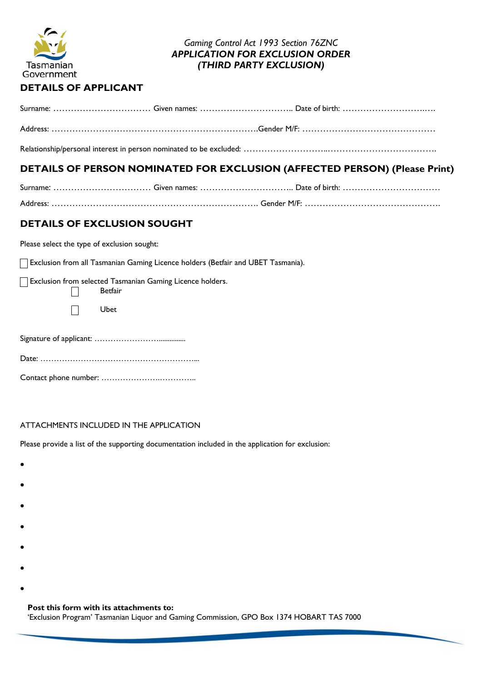

## *Gaming Control Act 1993 Section 76ZNC APPLICATION FOR EXCLUSION ORDER (THIRD PARTY EXCLUSION)*

## **DETAILS OF APPLICANT**

Relationship/personal interest in person nominated to be excluded: ……………………………………………………………………

# **DETAILS OF PERSON NOMINATED FOR EXCLUSION (AFFECTED PERSON) (Please Print)**

# **DETAILS OF EXCLUSION SOUGHT**

Please select the type of exclusion sought:

Exclusion from all Tasmanian Gaming Licence holders (Betfair and UBET Tasmania).

| $\Box$ Betfair | Exclusion from selected Tasmanian Gaming Licence holders. |
|----------------|-----------------------------------------------------------|
| Ubet           |                                                           |
|                |                                                           |

Date: …………………………………………………... Contact phone number: ………………….…………..

## ATTACHMENTS INCLUDED IN THE APPLICATION

Please provide a list of the supporting documentation included in the application for exclusion:

- $\bullet$
- $\bullet$
- 
- $\bullet$
- $\bullet$
- 
- $\bullet$
- 
- $\bullet$
- $\bullet$

## **Post this form with its attachments to:**

'Exclusion Program' Tasmanian Liquor and Gaming Commission, GPO Box 1374 HOBART TAS 7000